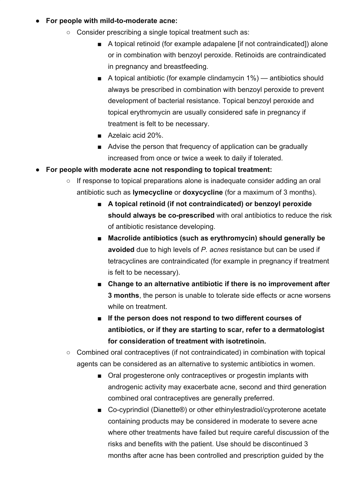## ● **For people with mild-to-moderate acne:**

- Consider prescribing a single topical treatment such as:
	- A topical retinoid (for example adapalene [if not contraindicated]) alone or in combination with benzoyl peroxide. Retinoids are contraindicated in pregnancy and breastfeeding.
	- $\blacksquare$  A topical antibiotic (for example clindamycin 1%) antibiotics should always be prescribed in combination with benzoyl peroxide to prevent development of bacterial resistance. Topical benzoyl peroxide and topical erythromycin are usually considered safe in pregnancy if treatment is felt to be necessary.
	- Azelaic acid 20%.
	- Advise the person that frequency of application can be gradually increased from once or twice a week to daily if tolerated.

## ● **For people with moderate acne not responding to topical treatment:**

- If response to topical preparations alone is inadequate consider adding an oral antibiotic such as **lymecycline** or **doxycycline** (for a maximum of 3 months).
	- **A topical retinoid (if not contraindicated) or benzoyl peroxide should always be co-prescribed** with oral antibiotics to reduce the risk of antibiotic resistance developing.
	- **Macrolide antibiotics (such as erythromycin) should generally be avoided** due to high levels of *P. acnes* resistance but can be used if tetracyclines are contraindicated (for example in pregnancy if treatment is felt to be necessary).
	- Change to an alternative antibiotic if there is no improvement after **3 months**, the person is unable to tolerate side effects or acne worsens while on treatment.
	- **■ If the person does not respond to two different courses of antibiotics, or if they are starting to scar, refer to a dermatologist for consideration of treatment with isotretinoin.**
- Combined oral contraceptives (if not contraindicated) in combination with topical agents can be considered as an alternative to systemic antibiotics in women.
	- Oral progesterone only contraceptives or progestin implants with androgenic activity may exacerbate acne, second and third generation combined oral contraceptives are generally preferred.
	- Co-cyprindiol (Dianette®) or other ethinylestradiol/cyproterone acetate containing products may be considered in moderate to severe acne where other treatments have failed but require careful discussion of the risks and benefits with the patient. Use should be discontinued 3 months after acne has been controlled and prescription guided by the